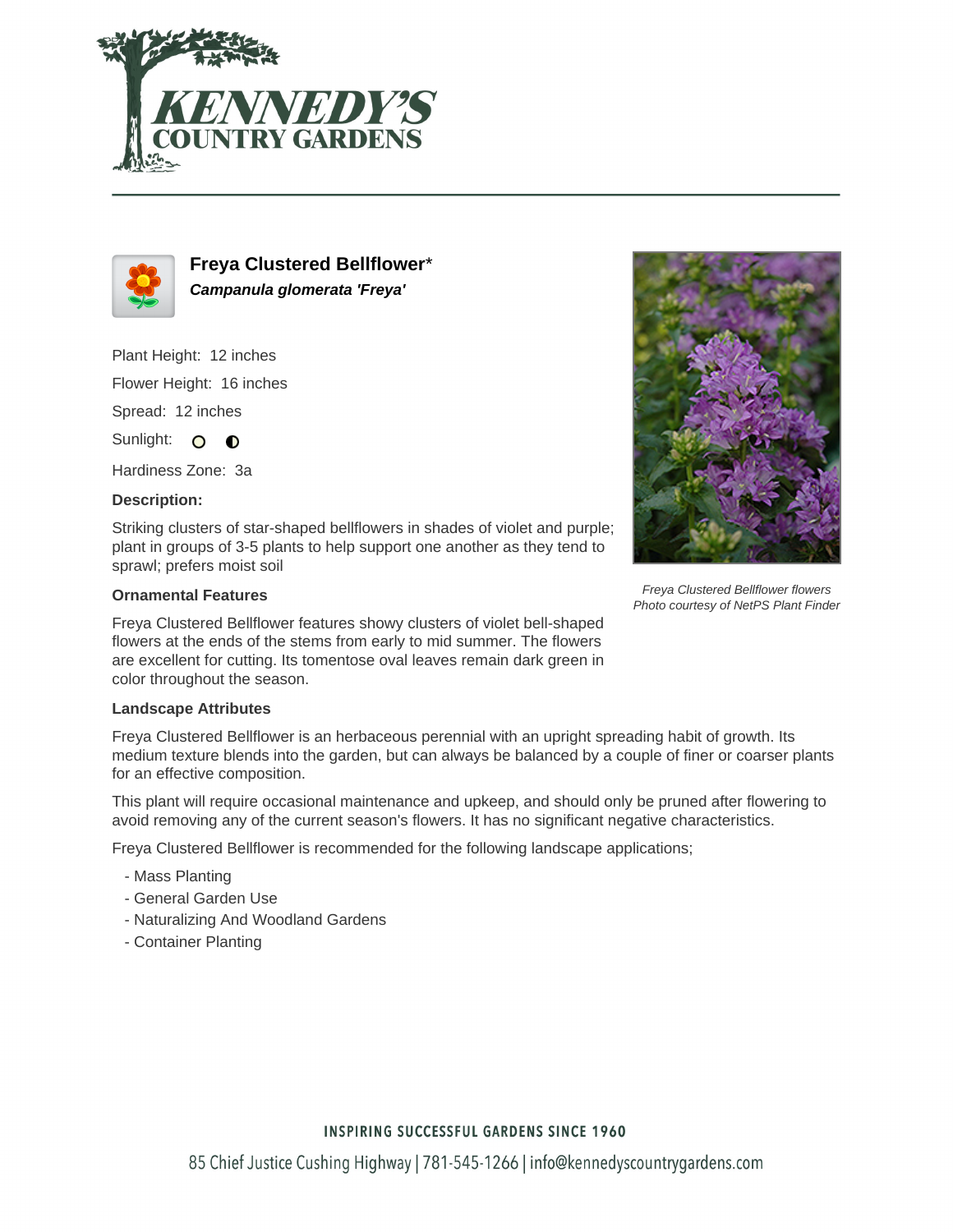



**Freya Clustered Bellflower**\* **Campanula glomerata 'Freya'**

Plant Height: 12 inches

Flower Height: 16 inches

Spread: 12 inches

Sunlight: O O

Hardiness Zone: 3a

## **Description:**

Striking clusters of star-shaped bellflowers in shades of violet and purple; plant in groups of 3-5 plants to help support one another as they tend to sprawl; prefers moist soil

## **Ornamental Features**

Freya Clustered Bellflower features showy clusters of violet bell-shaped flowers at the ends of the stems from early to mid summer. The flowers are excellent for cutting. Its tomentose oval leaves remain dark green in color throughout the season.

## **Landscape Attributes**

Freya Clustered Bellflower is an herbaceous perennial with an upright spreading habit of growth. Its medium texture blends into the garden, but can always be balanced by a couple of finer or coarser plants for an effective composition.

This plant will require occasional maintenance and upkeep, and should only be pruned after flowering to avoid removing any of the current season's flowers. It has no significant negative characteristics.

Freya Clustered Bellflower is recommended for the following landscape applications;

- Mass Planting
- General Garden Use
- Naturalizing And Woodland Gardens
- Container Planting



Freya Clustered Bellflower flowers Photo courtesy of NetPS Plant Finder